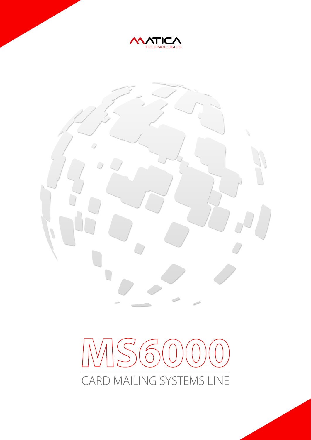



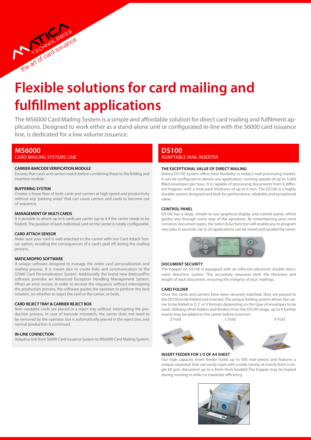# **Flexible solutions for card mailing and fulfillment applications**

The MS6000 Card Mailing System is a simple and affordable solution for direct card mailing and fulfilment applications. Designed to work either as a stand-alone unit or configurated in-line with the S6000 card issuance line, is dedicated for a low volume issuance.

# **MS6000**

Card mailing systems line

the art of card issues

## **CARRIER-BARCODEVERIFICATION MODULE**

Ensures that cards and carriers match before combining these to the folding and insertion module.

#### **BUFFERING SYSTEM**

Creates a linear flow of both cards and carriers at high speed and productivity without any "parking areas" that can cause carriers and cards to become out of sequence.

#### **MANAGEMENT OF MULTI CARDS**

It is possible to attach up to 6 cards per carrier (up to 4 if the carrier needs to be folded). The position of each individual card on the carrier is totally configurable.

#### **CARD ATTACH SENSOR**

Make sure your card is well attached to the carrier with our Card Attach Sensor option, avoiding the consequences of a card's peel off during the mailing process.

#### **MATICARDPRO SOFTWARE**

A unique software designed to manage the entire card personalization and mailing process. It is meant also to create links and communication to the S7000 Card Personalization System. Additionally the brand new MaticardPro software provides an Advanced Exception Handling Management System. When an error occurs, in order to recover the sequence without interrupting the production process, the software guides the operator to perform the best solution, on whether to reject the card or the carrier, or both.

## **CARD REJECT TRAY & CARRIER REJECT BOX**

Non–readable cards are placed in a reject tray without interrupting the production process. In case of barcode mismatch, the carrier does not need to be removed by the operator, but is automatically placed in the reject box, and normal production is continued.

#### **IN-LINE CONNECTION**

Adaptive link from S6000 Card Issuance System to MS6000 Card Mailing System.

# **DS100** ADAPTABLE MAIL INSERTER

#### **The exceptional value of direct mailing**

Matica DS100 System offers total flexibility in today's mail processing market. It can be configured to almost any application, running speeds of up to 3,000 filled envelopes per hour. It is capable of processing documents from 6 different hoppers with a total pack thickness of up to 6 mm. The DS100 is a highly durable system designed and built for performance, reliability and exceptional value.

#### **CONTROL PANEL**

DS100 has a large, simple-to-use graphical display and control panel, which guides you through every step of the operation. By remembering your most common document types, the Select & Go function will enable you to program new jobs in seconds. Up to 20 applications can be saved and recalled by name.



#### **DOCUMENT SECURITY**

The hopper on DS100 is equipped with an infra-red electronic double document detection system. This accurately measures both the thickness and length of each document, ensuring the integrity of your mailings.

#### **CARD FOLDER**

Once the cards and carriers have been securely matched, they are passed to the DS100 to be folded and inserted. The unique folding system allows the carrier to be folded in Z, C or V formats depending on the type of envelopes to be used. Utilizing other folders and feeders from the DS100 range, up to 6 further inserts may be added to the carrier before insertion.

Z Fold C Fold V Fold

#### **INSERT FEEDER FOR 1/3 OF A4 SHEET**

Our high capacity insert feeder holds up to 300 mail pieces and features a unique separator that can easily cope with a wide variety of inserts from a single 60 gsm document up to a 4mm thick booklet.The hopper may be loaded during running in order to maximize efficiency.

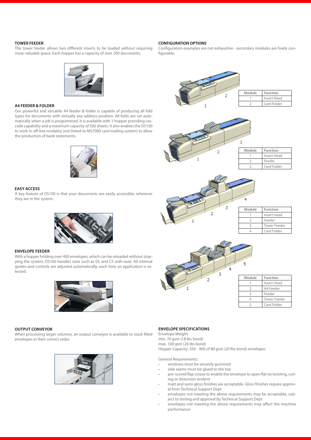## **TOWER FEEDER**

The tower feeder allows two different inserts to be loaded without requiring more valuable space. Each hopper has a capacity of over 200 documents.



Configuration examples are not exhaustive - secondary modules are freely configurable.



#### **A4 FEEDER & FOLDER**

Our powerful and versatile A4 feeder & folder is capable of producing all fold types for documents with virtually any address position. All folds are set automatically when a job is programmed. It is available with 1 hopper providing cascade capability and a maximum capacity of 500 sheets. It also enables the DS100 to work in off-line modality (not linked to MS7000 card mailing system) to allow the production of bank statements.



#### **EASY ACCESS**

A key feature of DS100 is that your documents are easily accessible, wherever they are in the system.



#### **ENVELOPE FEEDER**

With a hopper holding over 400 envelopes, which can be reloaded without stopping the system, DS100 handles sizes such as DL and C5 with ease. All internal guides and controls are adjusted automatically, each time an application is selected.



## **OUTPUT CONVEYOR**

When processing larger volumes, an output conveyor is available to stack filled envelopes in their correct order.



## **ENVELOPE SPECIFICATIONS** Envelope Weight:

min. 70 gsm (18 lbs bond) max. 100 gsm (26 lbs bond) Hopper Capacity: 350 - 400 of 80 gsm (20 lbs bond) envelopes

General Requirements:

- windows must be securely gummed
- side seams must be glued to the top
- pre-scored flap crease to enable the envelope to open flat no twisting, curling or distortion evident
- matt and semi-gloss finishes are acceptable. Gloss finishes require approval from Technical Support Dept
- envelopes not meeting the above requirements may be acceptable, subject to testing and approval by Technical Support Dept
- envelopes not meeting the above requirements may affect the machine performance





| Module | Function    |
|--------|-------------|
|        | Insert Head |
|        | Feeder      |
|        | Card Folder |



| Module | Function            |
|--------|---------------------|
|        | Insert Head         |
|        | Feeder              |
|        | <b>Tower Feeder</b> |
|        | Card Folder         |



| Module | <b>Function</b>     |
|--------|---------------------|
|        | Insert Head         |
|        | A4 Feeder           |
| 3      | Feeder              |
|        | <b>Tower Feeder</b> |
|        | Card Folder         |